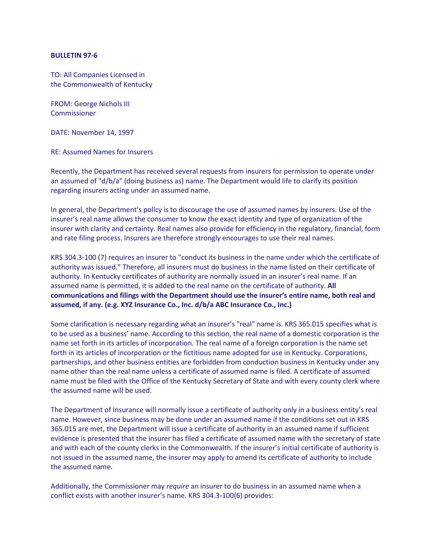## **BULLETIN 97-6**

TO: All Companies Licensed in the Commonwealth of Kentucky

FROM: George Nichols III Commissioner

DATE: November 14, 1997

RE: Assumed Names for Insurers

Recently, the Department has received several requests from insurers for permission to operate under an assumed of "d/b/a" (doing business as) name. The Department would life to clarify its position regarding insurers acting under an assumed name.

In general, the Department's policy is to discourage the use of assumed names by insurers. Use of the insurer's real name allows the consumer to know the exact identity and type of organization of the insurer with clarity and certainty. Real names also provide for efficiency in the regulatory, financial, form and rate filing process. Insurers are therefore strongly encourages to use their real names.

KRS 304.3-100 (7) requires an insurer to "conduct its business in the name under which the certificate of authority was issued." Therefore, all insurers must do business in the name listed on their certificate of authority. In Kentucky certificates of authority are normally issued in an insurer's real name. If an assumed name is permitted, it is added to the real name on the certificate of authority. **All communications and filings with the Department should use the insurer's entire name, both real and assumed, if any. (e.g. XYZ Insurance Co., Inc. d/b/a ABC Insurance Co., Inc.)**

Some clarification is necessary regarding what an insurer's "real" name is. KRS 365.015 specifies what is to be used as a business' name. According to this section, the real name of a domestic corporation is the name set forth in its articles of incorporation. The real name of a foreign corporation is the name set forth in its articles of incorporation or the fictitious name adopted for use in Kentucky. Corporations, partnerships, and other business entities are forbidden from conduction business in Kentucky under any name other than the real name unless a certificate of assumed name is filed. A certificate of assumed name must be filed with the Office of the Kentucky Secretary of State and with every county clerk where the assumed name will be used.

The Department of Insurance will normally issue a certificate of authority only in a business entity's real name. However, since business may be done under an assumed name if the conditions set out in KRS 365.015 are met, the Department will issue a certificate of authority in an assumed name if sufficient evidence is presented that the insurer has filed a certificate of assumed name with the secretary of state and with each of the county clerks in the Commonwealth. If the insurer's initial certificate of authority is not issued in the assumed name, the insurer may apply to amend its certificate of authority to include the assumed name.

Additionally, the Commissioner may *require* an insurer to do business in an assumed name when a conflict exists with another insurer's name. KRS 304.3-100(6) provides: